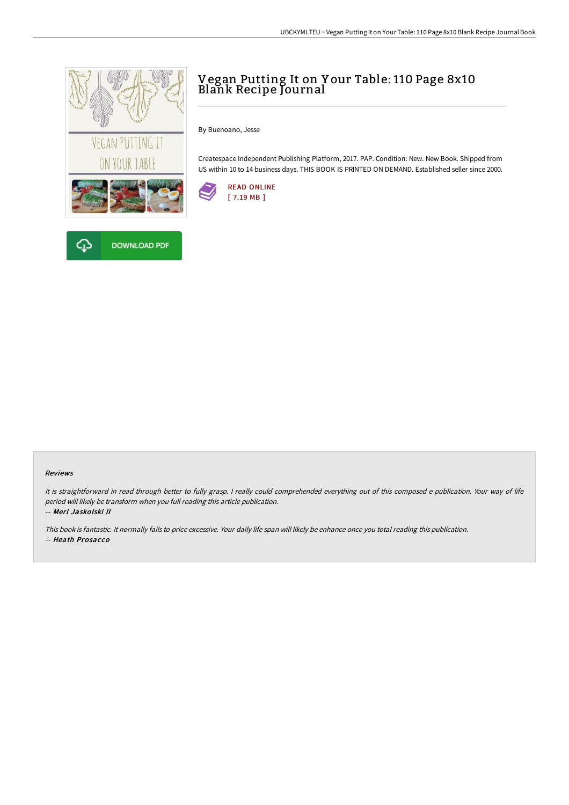

**DOWNLOAD PDF** 

安

# Vegan Putting It on Y our Table: 110 Page 8x10 Blank Recipe Journal

By Buenoano, Jesse

Createspace Independent Publishing Platform, 2017. PAP. Condition: New. New Book. Shipped from US within 10 to 14 business days. THIS BOOK IS PRINTED ON DEMAND. Established seller since 2000.



#### Reviews

It is straightforward in read through better to fully grasp. <sup>I</sup> really could comprehended everything out of this composed <sup>e</sup> publication. Your way of life period will likely be transform when you full reading this article publication. -- Merl Jaskolski II

This book is fantastic. It normally fails to price excessive. Your daily life span will likely be enhance once you total reading this publication. -- Heath Prosacco